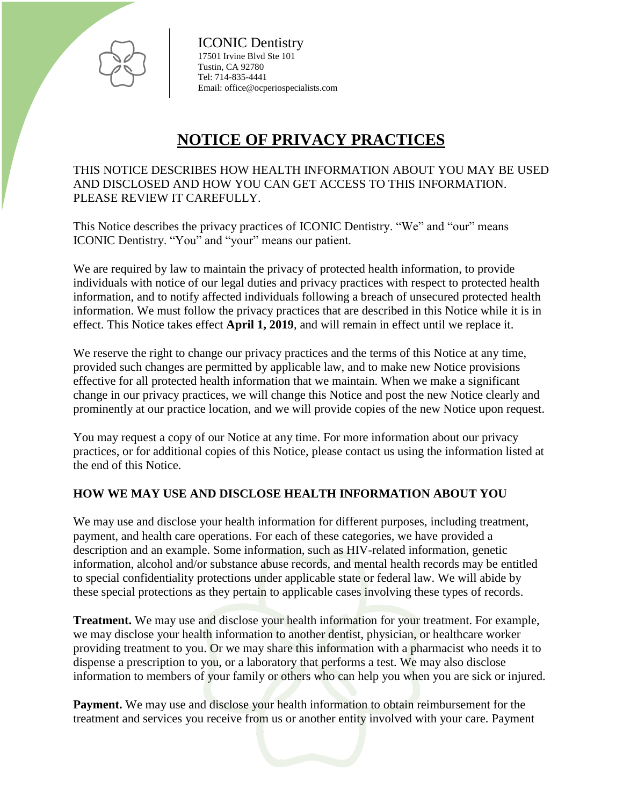

## **NOTICE OF PRIVACY PRACTICES**

#### THIS NOTICE DESCRIBES HOW HEALTH INFORMATION ABOUT YOU MAY BE USED AND DISCLOSED AND HOW YOU CAN GET ACCESS TO THIS INFORMATION. PLEASE REVIEW IT CAREFULLY.

This Notice describes the privacy practices of ICONIC Dentistry. "We" and "our" means ICONIC Dentistry. "You" and "your" means our patient.

We are required by law to maintain the privacy of protected health information, to provide individuals with notice of our legal duties and privacy practices with respect to protected health information, and to notify affected individuals following a breach of unsecured protected health information. We must follow the privacy practices that are described in this Notice while it is in effect. This Notice takes effect **April 1, 2019**, and will remain in effect until we replace it.

We reserve the right to change our privacy practices and the terms of this Notice at any time, provided such changes are permitted by applicable law, and to make new Notice provisions effective for all protected health information that we maintain. When we make a significant change in our privacy practices, we will change this Notice and post the new Notice clearly and prominently at our practice location, and we will provide copies of the new Notice upon request.

You may request a copy of our Notice at any time. For more information about our privacy practices, or for additional copies of this Notice, please contact us using the information listed at the end of this Notice.

#### **HOW WE MAY USE AND DISCLOSE HEALTH INFORMATION ABOUT YOU**

We may use and disclose your health information for different purposes, including treatment, payment, and health care operations. For each of these categories, we have provided a description and an example. Some information, such as HIV-related information, genetic information, alcohol and/or substance abuse records, and mental health records may be entitled to special confidentiality protections under applicable state or federal law. We will abide by these special protections as they pertain to applicable cases involving these types of records.

**Treatment.** We may use and disclose your health information for your treatment. For example, we may disclose your health information to another dentist, physician, or healthcare worker providing treatment to you. Or we may share this information with a pharmacist who needs it to dispense a prescription to you, or a laboratory that performs a test. We may also disclose information to members of your family or others who can help you when you are sick or injured.

**Payment.** We may use and disclose your health information to obtain reimbursement for the treatment and services you receive from us or another entity involved with your care. Payment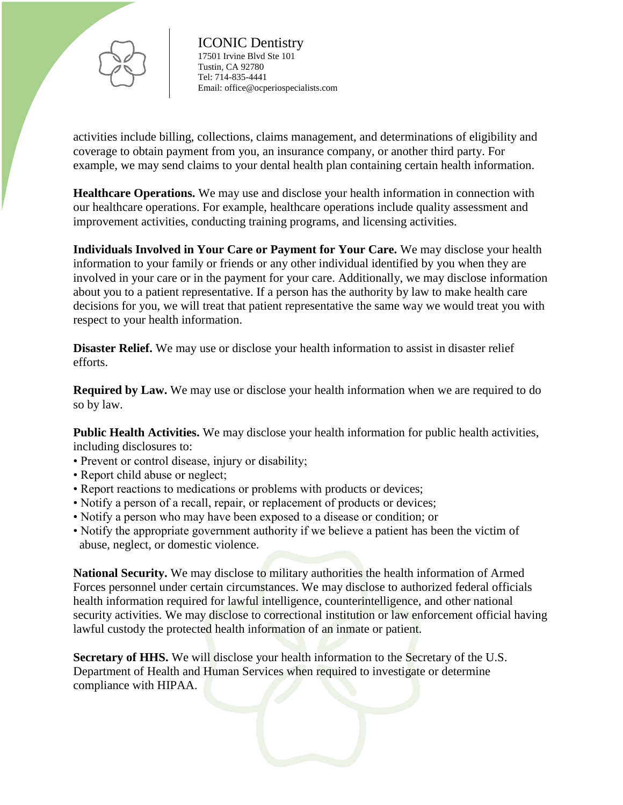

activities include billing, collections, claims management, and determinations of eligibility and coverage to obtain payment from you, an insurance company, or another third party. For example, we may send claims to your dental health plan containing certain health information.

**Healthcare Operations.** We may use and disclose your health information in connection with our healthcare operations. For example, healthcare operations include quality assessment and improvement activities, conducting training programs, and licensing activities.

**Individuals Involved in Your Care or Payment for Your Care.** We may disclose your health information to your family or friends or any other individual identified by you when they are involved in your care or in the payment for your care. Additionally, we may disclose information about you to a patient representative. If a person has the authority by law to make health care decisions for you, we will treat that patient representative the same way we would treat you with respect to your health information.

**Disaster Relief.** We may use or disclose your health information to assist in disaster relief efforts.

**Required by Law.** We may use or disclose your health information when we are required to do so by law.

**Public Health Activities.** We may disclose your health information for public health activities, including disclosures to:

- Prevent or control disease, injury or disability;
- Report child abuse or neglect;
- Report reactions to medications or problems with products or devices;
- Notify a person of a recall, repair, or replacement of products or devices;
- Notify a person who may have been exposed to a disease or condition; or
- Notify the appropriate government authority if we believe a patient has been the victim of abuse, neglect, or domestic violence.

**National Security.** We may disclose to military authorities the health information of Armed Forces personnel under certain circumstances. We may disclose to authorized federal officials health information required for lawful intelligence, counterintelligence, and other national security activities. We may disclose to correctional institution or law enforcement official having lawful custody the protected health information of an inmate or patient.

**Secretary of HHS.** We will disclose your health information to the Secretary of the U.S. Department of Health and Human Services when required to investigate or determine compliance with HIPAA.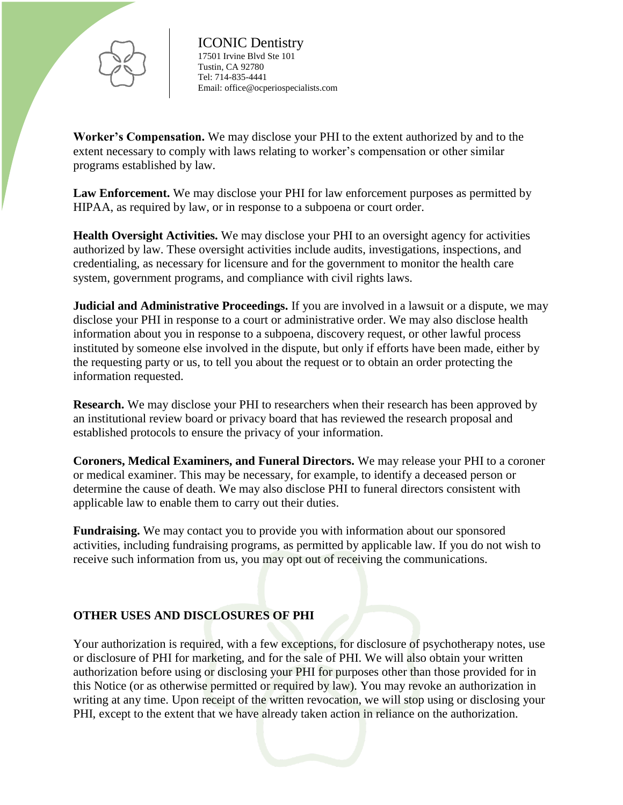

**Worker's Compensation.** We may disclose your PHI to the extent authorized by and to the extent necessary to comply with laws relating to worker's compensation or other similar programs established by law.

**Law Enforcement.** We may disclose your PHI for law enforcement purposes as permitted by HIPAA, as required by law, or in response to a subpoena or court order.

**Health Oversight Activities.** We may disclose your PHI to an oversight agency for activities authorized by law. These oversight activities include audits, investigations, inspections, and credentialing, as necessary for licensure and for the government to monitor the health care system, government programs, and compliance with civil rights laws.

**Judicial and Administrative Proceedings.** If you are involved in a lawsuit or a dispute, we may disclose your PHI in response to a court or administrative order. We may also disclose health information about you in response to a subpoena, discovery request, or other lawful process instituted by someone else involved in the dispute, but only if efforts have been made, either by the requesting party or us, to tell you about the request or to obtain an order protecting the information requested.

**Research.** We may disclose your PHI to researchers when their research has been approved by an institutional review board or privacy board that has reviewed the research proposal and established protocols to ensure the privacy of your information.

**Coroners, Medical Examiners, and Funeral Directors.** We may release your PHI to a coroner or medical examiner. This may be necessary, for example, to identify a deceased person or determine the cause of death. We may also disclose PHI to funeral directors consistent with applicable law to enable them to carry out their duties.

**Fundraising.** We may contact you to provide you with information about our sponsored activities, including fundraising programs, as permitted by applicable law. If you do not wish to receive such information from us, you may opt out of receiving the communications.

#### **OTHER USES AND DISCLOSURES OF PHI**

Your authorization is required, with a few exceptions, for disclosure of psychotherapy notes, use or disclosure of PHI for marketing, and for the sale of PHI. We will also obtain your written authorization before using or disclosing your PHI for purposes other than those provided for in this Notice (or as otherwise permitted or required by law). You may revoke an authorization in writing at any time. Upon receipt of the written revocation, we will stop using or disclosing your PHI, except to the extent that we have already taken action in reliance on the authorization.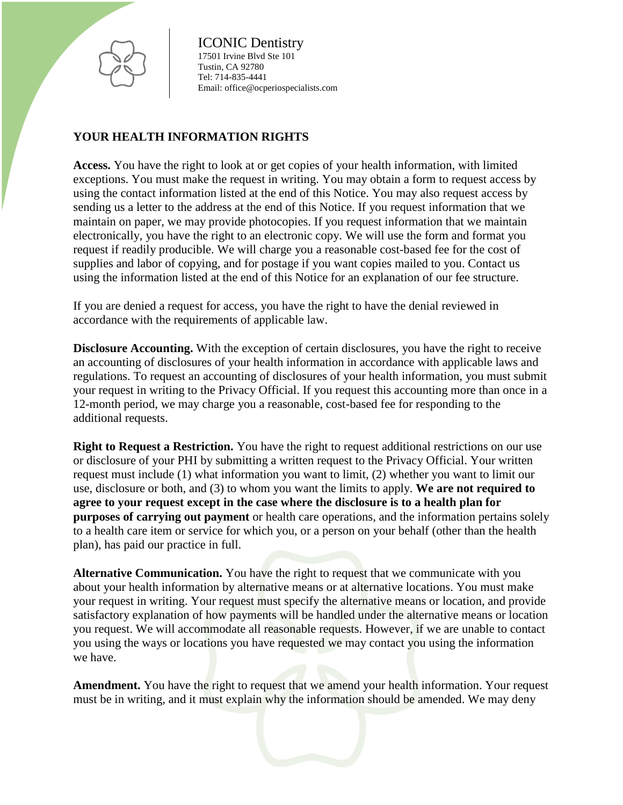# ICONIC Dentistry

17501 Irvine Blvd Ste 101 Tustin, CA 92780 Tel: 714-835-4441 Email: office@ocperiospecialists.com

### **YOUR HEALTH INFORMATION RIGHTS**

**Access.** You have the right to look at or get copies of your health information, with limited exceptions. You must make the request in writing. You may obtain a form to request access by using the contact information listed at the end of this Notice. You may also request access by sending us a letter to the address at the end of this Notice. If you request information that we maintain on paper, we may provide photocopies. If you request information that we maintain electronically, you have the right to an electronic copy. We will use the form and format you request if readily producible. We will charge you a reasonable cost-based fee for the cost of supplies and labor of copying, and for postage if you want copies mailed to you. Contact us using the information listed at the end of this Notice for an explanation of our fee structure.

If you are denied a request for access, you have the right to have the denial reviewed in accordance with the requirements of applicable law.

**Disclosure Accounting.** With the exception of certain disclosures, you have the right to receive an accounting of disclosures of your health information in accordance with applicable laws and regulations. To request an accounting of disclosures of your health information, you must submit your request in writing to the Privacy Official. If you request this accounting more than once in a 12-month period, we may charge you a reasonable, cost-based fee for responding to the additional requests.

**Right to Request a Restriction.** You have the right to request additional restrictions on our use or disclosure of your PHI by submitting a written request to the Privacy Official. Your written request must include (1) what information you want to limit, (2) whether you want to limit our use, disclosure or both, and (3) to whom you want the limits to apply. **We are not required to agree to your request except in the case where the disclosure is to a health plan for purposes of carrying out payment** or health care operations, and the information pertains solely to a health care item or service for which you, or a person on your behalf (other than the health plan), has paid our practice in full.

**Alternative Communication.** You have the right to request that we communicate with you about your health information by alternative means or at alternative locations. You must make your request in writing. Your request must specify the alternative means or location, and provide satisfactory explanation of how payments will be handled under the alternative means or location you request. We will accommodate all reasonable requests. However, if we are unable to contact you using the ways or locations you have requested we may contact you using the information we have.

Amendment. You have the right to request that we amend your health information. Your request must be in writing, and it must explain why the information should be amended. We may deny